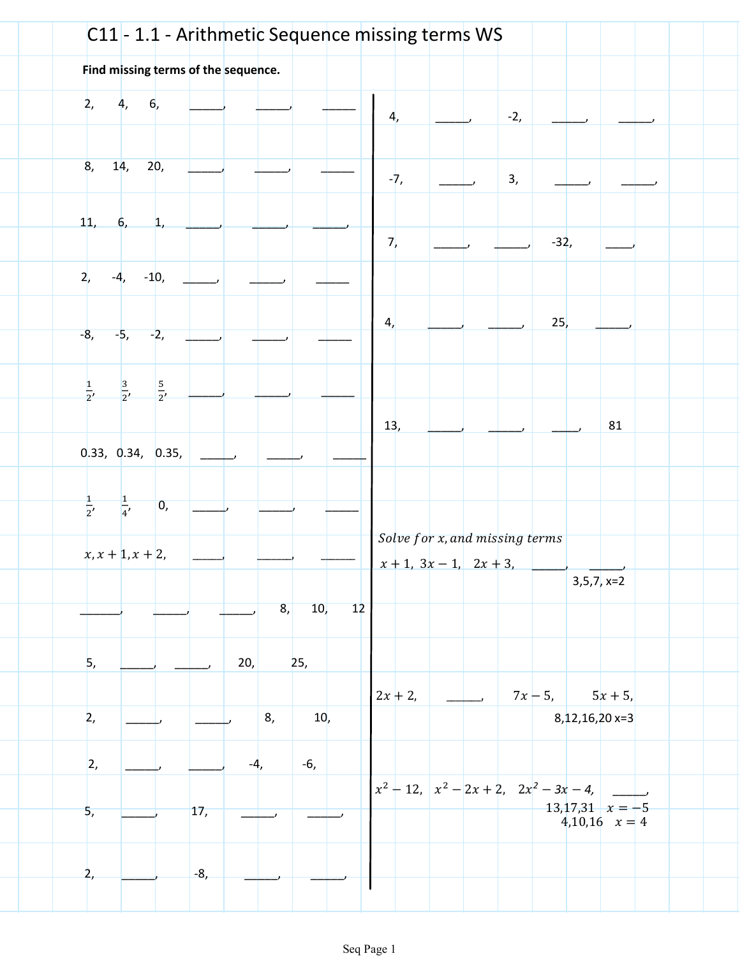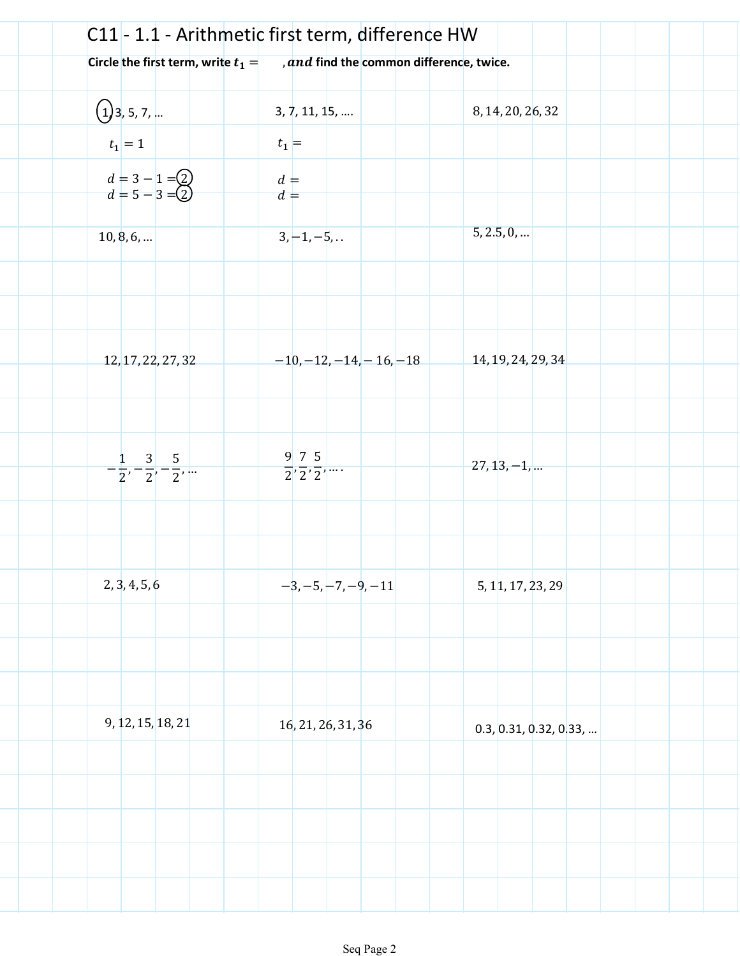|                                              | C11 - 1.1 - Arithmetic first term, difference HW |                        |
|----------------------------------------------|--------------------------------------------------|------------------------|
| Circle the first term, write $t_1 =$         | and find the common difference, twice.           |                        |
|                                              |                                                  |                        |
| $\bigoplus$ 3, 5, 7,                         | 3, 7, 11, 15,                                    | 8, 14, 20, 26, 32      |
| $t_1=1$                                      | $t_1$ =                                          |                        |
| $d = 3 - 1 = 2$<br>$d = 5 - 3 = 2$           | $d =$<br>$d =$                                   |                        |
| 10, 8, 6,                                    | $3, -1, -5,$                                     | 5, 2.5, 0,             |
|                                              |                                                  |                        |
|                                              |                                                  |                        |
|                                              |                                                  |                        |
| $-12, 17, 22, 27, 32$                        | $-10, -12, -14, -16, -18$                        | 14, 19, 24, 29, 34     |
|                                              |                                                  |                        |
|                                              |                                                  |                        |
| $-\frac{1}{2}, -\frac{3}{2}, -\frac{5}{2}, $ | $\frac{9}{2}, \frac{7}{2}, \frac{5}{2}, \dots$   | $27, 13, -1, $         |
|                                              |                                                  |                        |
|                                              |                                                  |                        |
| 2, 3, 4, 5, 6                                | $-3, -5, -7, -9, -11$                            | 5, 11, 17, 23, 29      |
|                                              |                                                  |                        |
|                                              |                                                  |                        |
|                                              |                                                  |                        |
| 9, 12, 15, 18, 21                            | 16, 21, 26, 31, 36                               | 0.3, 0.31, 0.32, 0.33, |
|                                              |                                                  |                        |
|                                              |                                                  |                        |
|                                              |                                                  |                        |
|                                              |                                                  |                        |
|                                              |                                                  |                        |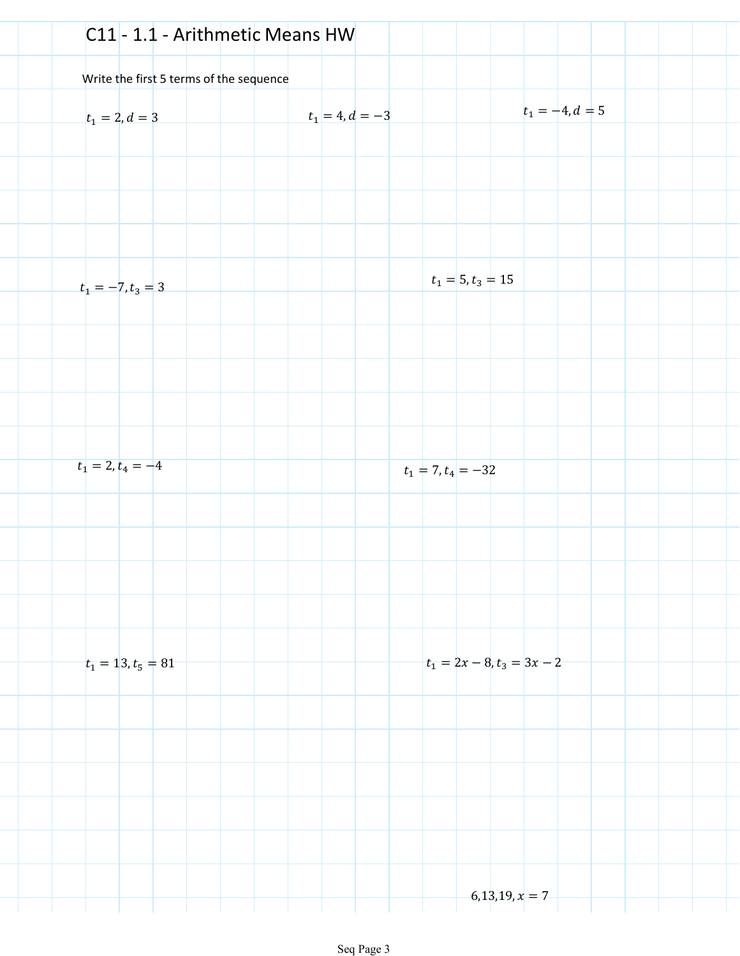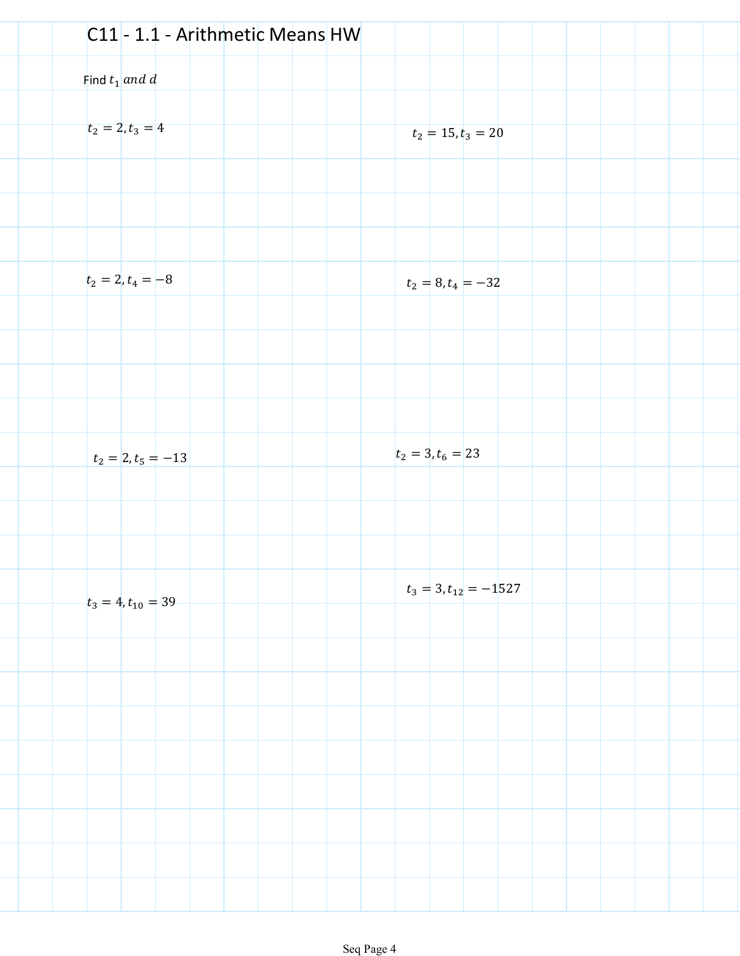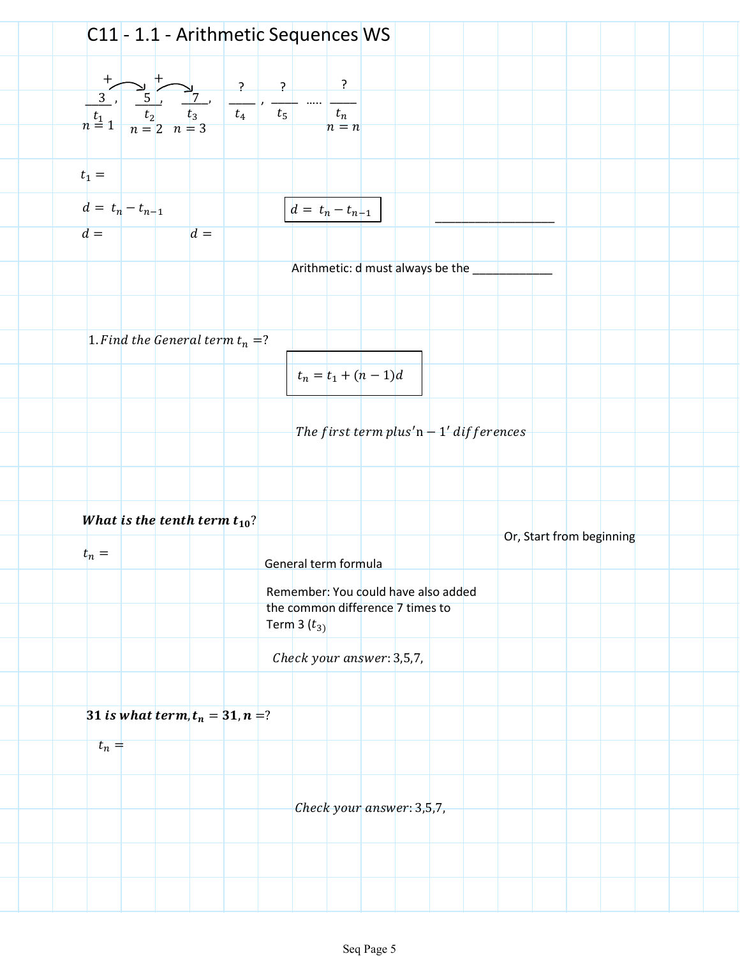|                                         |                                    |                |       |                                                                                                         |                                               | C11 - 1.1 - Arithmetic Sequences WS                                                       |  |  |                          |  |  |  |
|-----------------------------------------|------------------------------------|----------------|-------|---------------------------------------------------------------------------------------------------------|-----------------------------------------------|-------------------------------------------------------------------------------------------|--|--|--------------------------|--|--|--|
|                                         |                                    | $\overline{L}$ |       |                                                                                                         | $\begin{array}{ c c c }\n\hline\n\end{array}$ | $\cdot$                                                                                   |  |  |                          |  |  |  |
| $\overline{3}$ ,<br>$\frac{t_1}{n}$ = 1 |                                    |                |       | $\begin{array}{c c c}\n & 5 & 7 \\ \hline\n & t_2 & t_3 & t_4 \\ \hline\n & n = 2 & n = 3\n\end{array}$ | $t_5$                                         | $t_n$<br>$n = n$                                                                          |  |  |                          |  |  |  |
| $t_1 =$                                 |                                    |                |       |                                                                                                         |                                               |                                                                                           |  |  |                          |  |  |  |
| $d = t_n - t_{n-1}$                     |                                    |                |       |                                                                                                         |                                               | $d = t_n - t_{n-1}$                                                                       |  |  |                          |  |  |  |
| $d =$                                   |                                    |                | $d =$ |                                                                                                         |                                               | Arithmetic: d must always be the                                                          |  |  |                          |  |  |  |
|                                         |                                    |                |       |                                                                                                         |                                               |                                                                                           |  |  |                          |  |  |  |
|                                         | 1. Find the General term $t_n = ?$ |                |       |                                                                                                         |                                               |                                                                                           |  |  |                          |  |  |  |
|                                         |                                    |                |       |                                                                                                         |                                               | $t_n = t_1 + (n-1)d$                                                                      |  |  |                          |  |  |  |
|                                         |                                    |                |       |                                                                                                         |                                               | The first term plus'n $-1'$ differences                                                   |  |  |                          |  |  |  |
|                                         |                                    |                |       |                                                                                                         |                                               |                                                                                           |  |  |                          |  |  |  |
| What is the tenth term $t_{10}$ ?       |                                    |                |       |                                                                                                         |                                               |                                                                                           |  |  | Or, Start from beginning |  |  |  |
| $t_n =$                                 |                                    |                |       |                                                                                                         |                                               | General term formula                                                                      |  |  |                          |  |  |  |
|                                         |                                    |                |       |                                                                                                         |                                               | Remember: You could have also added<br>the common difference 7 times to<br>Term 3 $(t_3)$ |  |  |                          |  |  |  |
|                                         |                                    |                |       |                                                                                                         |                                               | Check your answer: 3,5,7,                                                                 |  |  |                          |  |  |  |
| 31 is what term, $t_n = 31, n = ?$      |                                    |                |       |                                                                                                         |                                               |                                                                                           |  |  |                          |  |  |  |
| $t_n =$                                 |                                    |                |       |                                                                                                         |                                               |                                                                                           |  |  |                          |  |  |  |
|                                         |                                    |                |       |                                                                                                         |                                               |                                                                                           |  |  |                          |  |  |  |
|                                         |                                    |                |       |                                                                                                         |                                               | Check your answer: 3,5,7,                                                                 |  |  |                          |  |  |  |
|                                         |                                    |                |       |                                                                                                         |                                               |                                                                                           |  |  |                          |  |  |  |
|                                         |                                    |                |       |                                                                                                         |                                               |                                                                                           |  |  |                          |  |  |  |